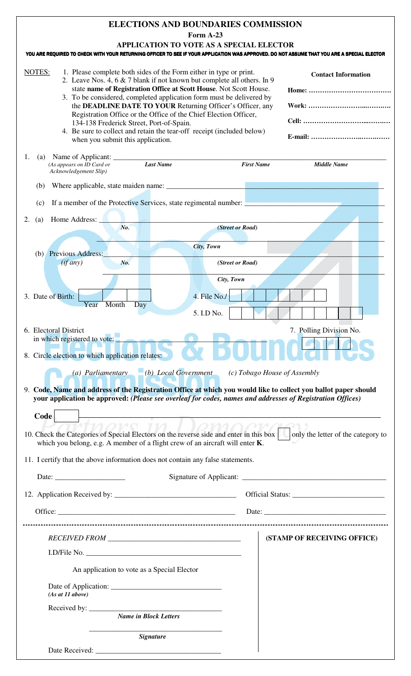## **ELECTIONS AND BOUNDARIES COMMISSION**

**Form A-23** 

|                                                                                                                                                                                                                                                                         | <b>Form A-23</b>                                                                                                                                                                                                                                                                                                                                                                                                                                                                                        |                              |                             |
|-------------------------------------------------------------------------------------------------------------------------------------------------------------------------------------------------------------------------------------------------------------------------|---------------------------------------------------------------------------------------------------------------------------------------------------------------------------------------------------------------------------------------------------------------------------------------------------------------------------------------------------------------------------------------------------------------------------------------------------------------------------------------------------------|------------------------------|-----------------------------|
| YOU ARE REQUIRED TO CHECK WITH YOUR RETURNING OFFICER TO SEE IF YOUR APPLICATION WAS APPROVED. DO NOT ASSUME THAT YOU ARE A SPECIAL ELECTOR                                                                                                                             | <b>APPLICATION TO VOTE AS A SPECIAL ELECTOR</b>                                                                                                                                                                                                                                                                                                                                                                                                                                                         |                              |                             |
| NOTES:<br>134-138 Frederick Street, Port-of-Spain.<br>when you submit this application.                                                                                                                                                                                 | 1. Please complete both sides of the Form either in type or print.<br>2. Leave Nos. 4, 6 & 7 blank if not known but complete all others. In 9<br>state name of Registration Office at Scott House. Not Scott House.<br>3. To be considered, completed application form must be delivered by<br>the DEADLINE DATE TO YOUR Returning Officer's Officer, any<br>Registration Office or the Office of the Chief Election Officer,<br>4. Be sure to collect and retain the tear-off receipt (included below) |                              | <b>Contact Information</b>  |
| 1.<br>(a)<br>(As appears on ID Card or<br>Acknowledgement Slip)                                                                                                                                                                                                         | Last Name                                                                                                                                                                                                                                                                                                                                                                                                                                                                                               | <b>First Name</b>            | <b>Middle Name</b>          |
| (b)                                                                                                                                                                                                                                                                     |                                                                                                                                                                                                                                                                                                                                                                                                                                                                                                         |                              |                             |
| If a member of the Protective Services, state regimental number:<br>(c)                                                                                                                                                                                                 |                                                                                                                                                                                                                                                                                                                                                                                                                                                                                                         |                              |                             |
| Home Address:<br>2.<br>(a)<br>No.                                                                                                                                                                                                                                       | (Street or Road)                                                                                                                                                                                                                                                                                                                                                                                                                                                                                        |                              |                             |
|                                                                                                                                                                                                                                                                         | City, Town                                                                                                                                                                                                                                                                                                                                                                                                                                                                                              |                              |                             |
| (b) Previous Address:<br>(if any)<br>No.                                                                                                                                                                                                                                | (Street or Road)                                                                                                                                                                                                                                                                                                                                                                                                                                                                                        |                              |                             |
|                                                                                                                                                                                                                                                                         | City, Town                                                                                                                                                                                                                                                                                                                                                                                                                                                                                              |                              |                             |
| 3. Date of Birth:<br>Month<br>Year<br>Day                                                                                                                                                                                                                               | 4. File No./                                                                                                                                                                                                                                                                                                                                                                                                                                                                                            |                              |                             |
|                                                                                                                                                                                                                                                                         | 5. I.D No.                                                                                                                                                                                                                                                                                                                                                                                                                                                                                              |                              |                             |
| 6. Electoral District<br><b>CONTRACTOR</b><br>in which registered to vote:                                                                                                                                                                                              |                                                                                                                                                                                                                                                                                                                                                                                                                                                                                                         |                              | 7. Polling Division No.     |
| 8. Circle election to which application relates:                                                                                                                                                                                                                        |                                                                                                                                                                                                                                                                                                                                                                                                                                                                                                         |                              |                             |
| (a) Parliamentary (b) Local Government<br>9. Code, Name and address of the Registration Office at which you would like to collect you ballot paper should<br>your application be approved: (Please see overleaf for codes, names and addresses of Registration Offices) |                                                                                                                                                                                                                                                                                                                                                                                                                                                                                                         | (c) Tobago House of Assembly |                             |
| Code                                                                                                                                                                                                                                                                    |                                                                                                                                                                                                                                                                                                                                                                                                                                                                                                         |                              |                             |
| 10. Check the Categories of Special Electors on the reverse side and enter in this box only the letter of the category to<br>which you belong, e.g. A member of a flight crew of an aircraft will enter K.                                                              |                                                                                                                                                                                                                                                                                                                                                                                                                                                                                                         |                              |                             |
| 11. I certify that the above information does not contain any false statements.                                                                                                                                                                                         |                                                                                                                                                                                                                                                                                                                                                                                                                                                                                                         |                              |                             |
|                                                                                                                                                                                                                                                                         |                                                                                                                                                                                                                                                                                                                                                                                                                                                                                                         |                              |                             |
|                                                                                                                                                                                                                                                                         |                                                                                                                                                                                                                                                                                                                                                                                                                                                                                                         |                              |                             |
|                                                                                                                                                                                                                                                                         |                                                                                                                                                                                                                                                                                                                                                                                                                                                                                                         |                              |                             |
|                                                                                                                                                                                                                                                                         |                                                                                                                                                                                                                                                                                                                                                                                                                                                                                                         |                              |                             |
|                                                                                                                                                                                                                                                                         |                                                                                                                                                                                                                                                                                                                                                                                                                                                                                                         |                              |                             |
|                                                                                                                                                                                                                                                                         |                                                                                                                                                                                                                                                                                                                                                                                                                                                                                                         |                              | (STAMP OF RECEIVING OFFICE) |
| An application to vote as a Special Elector                                                                                                                                                                                                                             |                                                                                                                                                                                                                                                                                                                                                                                                                                                                                                         |                              |                             |
|                                                                                                                                                                                                                                                                         |                                                                                                                                                                                                                                                                                                                                                                                                                                                                                                         |                              |                             |
| (As at 11 above)                                                                                                                                                                                                                                                        |                                                                                                                                                                                                                                                                                                                                                                                                                                                                                                         |                              |                             |
| <b>Name in Block Letters</b>                                                                                                                                                                                                                                            |                                                                                                                                                                                                                                                                                                                                                                                                                                                                                                         |                              |                             |
|                                                                                                                                                                                                                                                                         | <b>Signature</b>                                                                                                                                                                                                                                                                                                                                                                                                                                                                                        |                              |                             |

Date Received: \_\_\_\_\_\_\_\_\_\_\_\_\_\_\_\_\_\_\_\_\_\_\_\_\_\_\_\_\_\_\_\_\_\_